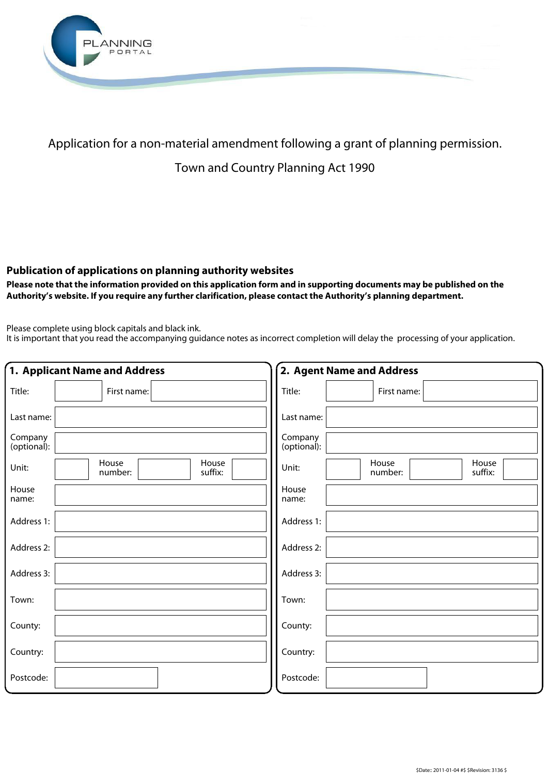

## Application for a non-material amendment following a grant of planning permission.

## Town and Country Planning Act 1990

## **Publication of applications on planning authority websites**

 **Please note that the information provided on this application form and in supporting documents may be published on the Authority's website. If you require any further clarification, please contact the Authority's planning department.**

Please complete using block capitals and black ink.

It is important that you read the accompanying guidance notes as incorrect completion will delay the processing of your application.

| 1. Applicant Name and Address |                                      | 2. Agent Name and Address                     |  |
|-------------------------------|--------------------------------------|-----------------------------------------------|--|
| Title:                        | First name:                          | Title:<br>First name:                         |  |
| Last name:                    |                                      | Last name:                                    |  |
| Company<br>(optional):        |                                      | Company<br>(optional):                        |  |
| Unit:                         | House<br>House<br>suffix:<br>number: | House<br>House<br>Unit:<br>suffix:<br>number: |  |
| House<br>name:                |                                      | House<br>name:                                |  |
| Address 1:                    |                                      | Address 1:                                    |  |
| Address 2:                    |                                      | Address 2:                                    |  |
| Address 3:                    |                                      | Address 3:                                    |  |
| Town:                         |                                      | Town:                                         |  |
| County:                       |                                      | County:                                       |  |
| Country:                      |                                      | Country:                                      |  |
| Postcode:                     |                                      | Postcode:                                     |  |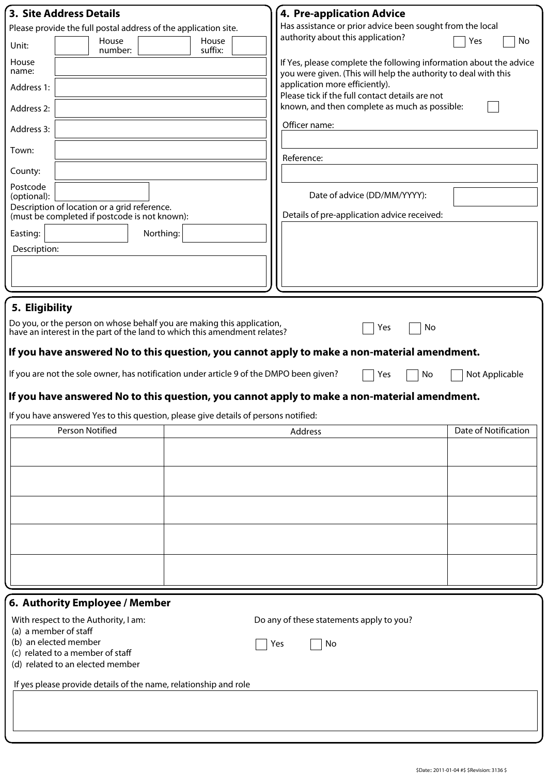| <b>3. Site Address Details</b>                                                                | <b>4. Pre-application Advice</b>                                                                                                      |    |  |  |  |
|-----------------------------------------------------------------------------------------------|---------------------------------------------------------------------------------------------------------------------------------------|----|--|--|--|
| Please provide the full postal address of the application site.                               | Has assistance or prior advice been sought from the local                                                                             |    |  |  |  |
| House<br>House<br>Unit:<br>suffix:<br>number:                                                 | authority about this application?<br>Yes                                                                                              | No |  |  |  |
| House<br>name:                                                                                | If Yes, please complete the following information about the advice<br>you were given. (This will help the authority to deal with this |    |  |  |  |
| Address 1:                                                                                    | application more efficiently).<br>Please tick if the full contact details are not                                                     |    |  |  |  |
| Address 2:                                                                                    | known, and then complete as much as possible:                                                                                         |    |  |  |  |
| Address 3:                                                                                    | Officer name:                                                                                                                         |    |  |  |  |
| Town:                                                                                         | Reference:                                                                                                                            |    |  |  |  |
| County:                                                                                       |                                                                                                                                       |    |  |  |  |
| Postcode<br>(optional):                                                                       | Date of advice (DD/MM/YYYY):                                                                                                          |    |  |  |  |
| Description of location or a grid reference.<br>(must be completed if postcode is not known): | Details of pre-application advice received:                                                                                           |    |  |  |  |
| Northing:<br>Easting:<br>Description:                                                         |                                                                                                                                       |    |  |  |  |
|                                                                                               |                                                                                                                                       |    |  |  |  |
|                                                                                               |                                                                                                                                       |    |  |  |  |
| 5. Eligibility                                                                                |                                                                                                                                       |    |  |  |  |
| Do you, or the person on whose behalf you are making this application,                        |                                                                                                                                       |    |  |  |  |
| have an interest in the part of the land to which this amendment relates?                     | No<br>Yes                                                                                                                             |    |  |  |  |
| If you have answered No to this question, you cannot apply to make a non-material amendment.  |                                                                                                                                       |    |  |  |  |
|                                                                                               |                                                                                                                                       |    |  |  |  |
|                                                                                               |                                                                                                                                       |    |  |  |  |
| If you are not the sole owner, has notification under article 9 of the DMPO been given?       | Yes<br>No<br>Not Applicable                                                                                                           |    |  |  |  |
| If you have answered No to this question, you cannot apply to make a non-material amendment.  |                                                                                                                                       |    |  |  |  |
| If you have answered Yes to this question, please give details of persons notified:           |                                                                                                                                       |    |  |  |  |
| Person Notified                                                                               | Date of Notification<br>Address                                                                                                       |    |  |  |  |
|                                                                                               |                                                                                                                                       |    |  |  |  |
|                                                                                               |                                                                                                                                       |    |  |  |  |
|                                                                                               |                                                                                                                                       |    |  |  |  |
|                                                                                               |                                                                                                                                       |    |  |  |  |
|                                                                                               |                                                                                                                                       |    |  |  |  |
|                                                                                               |                                                                                                                                       |    |  |  |  |
|                                                                                               |                                                                                                                                       |    |  |  |  |
|                                                                                               |                                                                                                                                       |    |  |  |  |
|                                                                                               |                                                                                                                                       |    |  |  |  |
| 6. Authority Employee / Member                                                                |                                                                                                                                       |    |  |  |  |
| With respect to the Authority, I am:                                                          | Do any of these statements apply to you?                                                                                              |    |  |  |  |
| (a) a member of staff<br>(b) an elected member                                                |                                                                                                                                       |    |  |  |  |
| (c) related to a member of staff<br>(d) related to an elected member                          | No<br>Yes                                                                                                                             |    |  |  |  |
|                                                                                               |                                                                                                                                       |    |  |  |  |
| If yes please provide details of the name, relationship and role                              |                                                                                                                                       |    |  |  |  |
|                                                                                               |                                                                                                                                       |    |  |  |  |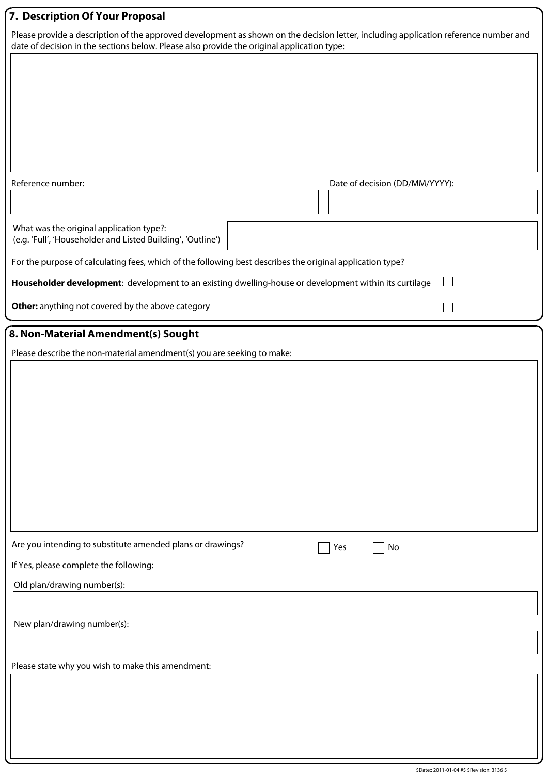| 7. Description Of Your Proposal                                                                                                                                                                                                    |                                |  |  |  |
|------------------------------------------------------------------------------------------------------------------------------------------------------------------------------------------------------------------------------------|--------------------------------|--|--|--|
| Please provide a description of the approved development as shown on the decision letter, including application reference number and<br>date of decision in the sections below. Please also provide the original application type: |                                |  |  |  |
|                                                                                                                                                                                                                                    |                                |  |  |  |
|                                                                                                                                                                                                                                    |                                |  |  |  |
|                                                                                                                                                                                                                                    |                                |  |  |  |
|                                                                                                                                                                                                                                    |                                |  |  |  |
|                                                                                                                                                                                                                                    |                                |  |  |  |
|                                                                                                                                                                                                                                    |                                |  |  |  |
| Reference number:                                                                                                                                                                                                                  | Date of decision (DD/MM/YYYY): |  |  |  |
|                                                                                                                                                                                                                                    |                                |  |  |  |
| What was the original application type?:<br>(e.g. 'Full', 'Householder and Listed Building', 'Outline')                                                                                                                            |                                |  |  |  |
| For the purpose of calculating fees, which of the following best describes the original application type?                                                                                                                          |                                |  |  |  |
| Householder development: development to an existing dwelling-house or development within its curtilage                                                                                                                             |                                |  |  |  |
| Other: anything not covered by the above category                                                                                                                                                                                  |                                |  |  |  |
| 8. Non-Material Amendment(s) Sought                                                                                                                                                                                                |                                |  |  |  |
| Please describe the non-material amendment(s) you are seeking to make:                                                                                                                                                             |                                |  |  |  |
|                                                                                                                                                                                                                                    |                                |  |  |  |
|                                                                                                                                                                                                                                    |                                |  |  |  |
|                                                                                                                                                                                                                                    |                                |  |  |  |
|                                                                                                                                                                                                                                    |                                |  |  |  |
|                                                                                                                                                                                                                                    |                                |  |  |  |
|                                                                                                                                                                                                                                    |                                |  |  |  |
|                                                                                                                                                                                                                                    |                                |  |  |  |
|                                                                                                                                                                                                                                    |                                |  |  |  |
| Are you intending to substitute amended plans or drawings?                                                                                                                                                                         | Yes<br>No                      |  |  |  |
| If Yes, please complete the following:                                                                                                                                                                                             |                                |  |  |  |
| Old plan/drawing number(s):                                                                                                                                                                                                        |                                |  |  |  |
|                                                                                                                                                                                                                                    |                                |  |  |  |
| New plan/drawing number(s):                                                                                                                                                                                                        |                                |  |  |  |
|                                                                                                                                                                                                                                    |                                |  |  |  |
| Please state why you wish to make this amendment:                                                                                                                                                                                  |                                |  |  |  |
|                                                                                                                                                                                                                                    |                                |  |  |  |
|                                                                                                                                                                                                                                    |                                |  |  |  |
|                                                                                                                                                                                                                                    |                                |  |  |  |
|                                                                                                                                                                                                                                    |                                |  |  |  |